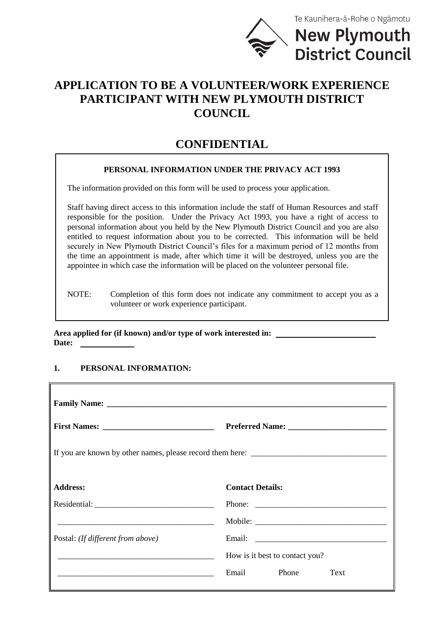

# **APPLICATION TO BE A VOLUNTEER/WORK EXPERIENCE PARTICIPANT WITH NEW PLYMOUTH DISTRICT COUNCIL**

# **CONFIDENTIAL**

# **PERSONAL INFORMATION UNDER THE PRIVACY ACT 1993**

The information provided on this form will be used to process your application.

Staff having direct access to this information include the staff of Human Resources and staff responsible for the position. Under the Privacy Act 1993, you have a right of access to personal information about you held by the New Plymouth District Council and you are also entitled to request information about you to be corrected. This information will be held securely in New Plymouth District Council's files for a maximum period of 12 months from the time an appointment is made, after which time it will be destroyed, unless you are the appointee in which case the information will be placed on the volunteer personal file.

NOTE: Completion of this form does not indicate any commitment to accept you as a volunteer or work experience participant.

### **Area applied for (if known) and/or type of work interested in: Date:**

## **1. PERSONAL INFORMATION:**

| <b>Address:</b>                   | <b>Contact Details:</b>        |
|-----------------------------------|--------------------------------|
|                                   |                                |
| $Residential: \_$                 |                                |
|                                   |                                |
|                                   |                                |
| Postal: (If different from above) | How is it best to contact you? |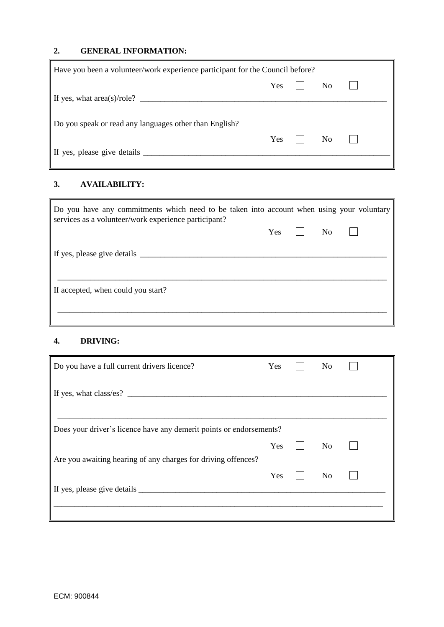## **2. GENERAL INFORMATION:**

| Have you been a volunteer/work experience participant for the Council before? |                 |  |       |  |
|-------------------------------------------------------------------------------|-----------------|--|-------|--|
|                                                                               | Yes             |  | No    |  |
|                                                                               |                 |  |       |  |
|                                                                               |                 |  |       |  |
| Do you speak or read any languages other than English?                        |                 |  |       |  |
|                                                                               | $Yes \mid \mid$ |  | No no |  |
|                                                                               |                 |  |       |  |

# **3. AVAILABILITY:**

| Do you have any commitments which need to be taken into account when using your voluntary<br>services as a volunteer/work experience participant? |           |     |  |
|---------------------------------------------------------------------------------------------------------------------------------------------------|-----------|-----|--|
|                                                                                                                                                   | $Yes \t $ | No. |  |
|                                                                                                                                                   |           |     |  |
| If accepted, when could you start?                                                                                                                |           |     |  |
|                                                                                                                                                   |           |     |  |

#### **4. DRIVING:**

| Do you have a full current drivers licence?                                                                                                                                                                                                                                                                                                                                                                   | Yes | N <sub>o</sub> |  |
|---------------------------------------------------------------------------------------------------------------------------------------------------------------------------------------------------------------------------------------------------------------------------------------------------------------------------------------------------------------------------------------------------------------|-----|----------------|--|
| If yes, what class/es? $\frac{1}{\sqrt{1-\frac{1}{\sqrt{1-\frac{1}{\sqrt{1-\frac{1}{\sqrt{1-\frac{1}{\sqrt{1-\frac{1}{\sqrt{1-\frac{1}{\sqrt{1-\frac{1}{\sqrt{1-\frac{1}{\sqrt{1-\frac{1}{\sqrt{1-\frac{1}{\sqrt{1-\frac{1}{\sqrt{1-\frac{1}{\sqrt{1-\frac{1}{\sqrt{1-\frac{1}{\sqrt{1-\frac{1}{\sqrt{1-\frac{1}{\sqrt{1-\frac{1}{\sqrt{1-\frac{1}{\sqrt{1-\frac{1}{\sqrt{1-\frac{1}{\sqrt{1-\frac{1}{\sqrt{$ |     |                |  |
| Does your driver's licence have any demerit points or endorsements?                                                                                                                                                                                                                                                                                                                                           |     |                |  |
|                                                                                                                                                                                                                                                                                                                                                                                                               | Yes | N <sub>o</sub> |  |
| Are you awaiting hearing of any charges for driving offences?                                                                                                                                                                                                                                                                                                                                                 |     |                |  |
|                                                                                                                                                                                                                                                                                                                                                                                                               | Yes | N <sub>o</sub> |  |
|                                                                                                                                                                                                                                                                                                                                                                                                               |     |                |  |
|                                                                                                                                                                                                                                                                                                                                                                                                               |     |                |  |
|                                                                                                                                                                                                                                                                                                                                                                                                               |     |                |  |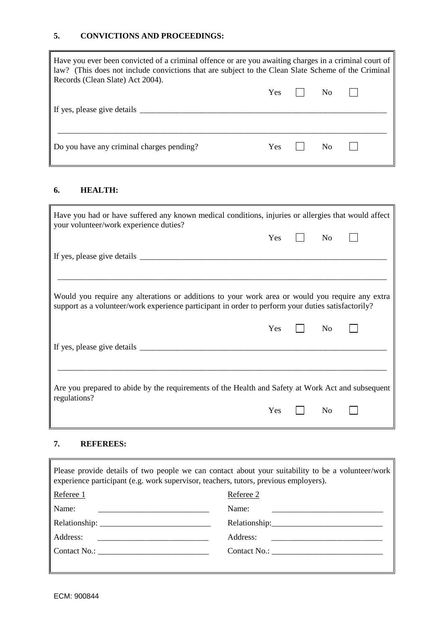## **5. CONVICTIONS AND PROCEEDINGS:**

| Have you ever been convicted of a criminal offence or are you awaiting charges in a criminal court of<br>law? (This does not include convictions that are subject to the Clean Slate Scheme of the Criminal<br>Records (Clean Slate) Act 2004). |       |     |  |
|-------------------------------------------------------------------------------------------------------------------------------------------------------------------------------------------------------------------------------------------------|-------|-----|--|
|                                                                                                                                                                                                                                                 | Yes   | No. |  |
| If yes, please give details                                                                                                                                                                                                                     |       |     |  |
| Do you have any criminal charges pending?                                                                                                                                                                                                       | Yes - | No  |  |

#### **6. HEALTH:**

| Have you had or have suffered any known medical conditions, injuries or allergies that would affect<br>your volunteer/work experience duties?                                                         |     |                |  |
|-------------------------------------------------------------------------------------------------------------------------------------------------------------------------------------------------------|-----|----------------|--|
|                                                                                                                                                                                                       | Yes | N <sub>0</sub> |  |
|                                                                                                                                                                                                       |     |                |  |
| Would you require any alterations or additions to your work area or would you require any extra<br>support as a volunteer/work experience participant in order to perform your duties satisfactorily? |     |                |  |
|                                                                                                                                                                                                       | Yes | N <sub>0</sub> |  |
|                                                                                                                                                                                                       |     |                |  |
| Are you prepared to abide by the requirements of the Health and Safety at Work Act and subsequent<br>regulations?                                                                                     |     |                |  |
|                                                                                                                                                                                                       | Yes | N <sub>0</sub> |  |

## **7. REFEREES:**

| Please provide details of two people we can contact about your suitability to be a volunteer/work<br>experience participant (e.g. work supervisor, teachers, tutors, previous employers). |               |
|-------------------------------------------------------------------------------------------------------------------------------------------------------------------------------------------|---------------|
| Referee 1                                                                                                                                                                                 | Referee 2     |
| Name:                                                                                                                                                                                     | Name:         |
|                                                                                                                                                                                           | Relationship: |
| Address:                                                                                                                                                                                  | Address:      |
| $\blacksquare$ Contact No.: $\blacksquare$                                                                                                                                                |               |
|                                                                                                                                                                                           |               |